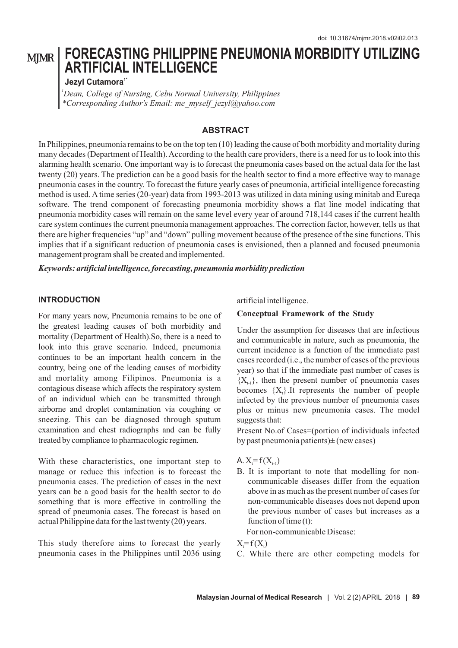# **FORECASTING PHILIPPINE PNEUMONIA MORBIDITY UTILIZING ARTIFICIAL INTELLIGENCE**

#### **1\* Jezyl Cutamora**

*\*Corresponding Author's Email: me\_myself\_jezyl@yahoo.com <sup>1</sup>Dean, College of Nursing, Cebu Normal University, Philippines*

## **ABSTRACT**

In Philippines, pneumonia remains to be on the top ten (10) leading the cause of both morbidity and mortality during many decades (Department of Health). According to the health care providers, there is a need for us to look into this alarming health scenario. One important way is to forecast the pneumonia cases based on the actual data for the last twenty (20) years. The prediction can be a good basis for the health sector to find a more effective way to manage pneumonia cases in the country. To forecast the future yearly cases of pneumonia, artificial intelligence forecasting method is used. A time series (20-year) data from 1993-2013 was utilized in data mining using minitab and Eureqa software. The trend component of forecasting pneumonia morbidity shows a flat line model indicating that pneumonia morbidity cases will remain on the same level every year of around 718,144 cases if the current health care system continues the current pneumonia management approaches. The correction factor, however, tells us that there are higher frequencies "up" and "down" pulling movement because of the presence of the sine functions. This implies that if a significant reduction of pneumonia cases is envisioned, then a planned and focused pneumonia management program shall be created and implemented.

*Keywords: artificial intelligence, forecasting, pneumonia morbidity prediction* 

#### **INTRODUCTION**

For many years now, Pneumonia remains to be one of the greatest leading causes of both morbidity and mortality (Department of Health).So, there is a need to look into this grave scenario. Indeed, pneumonia continues to be an important health concern in the country, being one of the leading causes of morbidity and mortality among Filipinos. Pneumonia is a contagious disease which affects the respiratory system of an individual which can be transmitted through airborne and droplet contamination via coughing or sneezing. This can be diagnosed through sputum examination and chest radiographs and can be fully treated by compliance to pharmacologic regimen.

With these characteristics, one important step to manage or reduce this infection is to forecast the pneumonia cases. The prediction of cases in the next years can be a good basis for the health sector to do something that is more effective in controlling the spread of pneumonia cases. The forecast is based on actual Philippine data for the last twenty (20) years.

This study therefore aims to forecast the yearly pneumonia cases in the Philippines until 2036 using artificial intelligence.

#### **Conceptual Framework of the Study**

Under the assumption for diseases that are infectious and communicable in nature, such as pneumonia, the current incidence is a function of the immediate past cases recorded (i.e., the number of cases of the previous year) so that if the immediate past number of cases is  ${X_{t-1}}$ , then the present number of pneumonia cases becomes  ${X<sub>i</sub>}$ . It represents the number of people infected by the previous number of pneumonia cases plus or minus new pneumonia cases. The model suggests that:

Present No.of Cases=(portion of individuals infected by past pneumonia patients $) \pm$  (new cases)

A.  $X = f(X_{t-1})$ 

B. It is important to note that modelling for noncommunicable diseases differ from the equation above in as much as the present number of cases for non-communicable diseases does not depend upon the previous number of cases but increases as a function of time (t):

For non-communicable Disease:

 $X = f(X)$ 

C. While there are other competing models for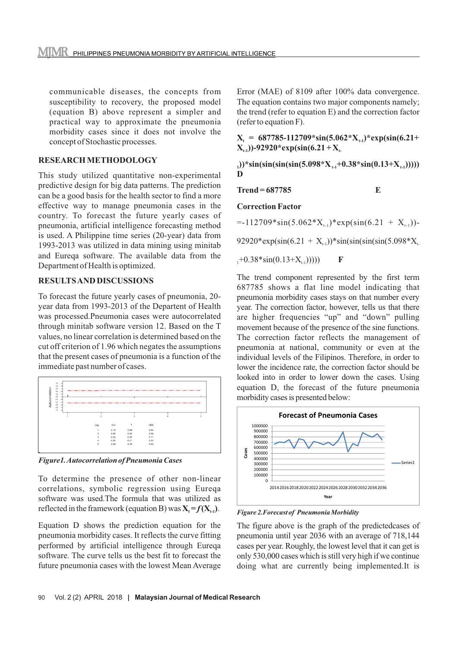communicable diseases, the concepts from susceptibility to recovery, the proposed model (equation B) above represent a simpler and practical way to approximate the pneumonia morbidity cases since it does not involve the concept of Stochastic processes.

# **RESEARCH METHODOLOGY**

This study utilized quantitative non-experimental predictive design for big data patterns. The prediction can be a good basis for the health sector to find a more effective way to manage pneumonia cases in the country. To forecast the future yearly cases of pneumonia, artificial intelligence forecasting method is used. A Philippine time series (20-year) data from 1993-2013 was utilized in data mining using minitab and Eureqa software. The available data from the Department of Health is optimized.

# **RESULTS AND DISCUSSIONS**

To forecast the future yearly cases of pneumonia, 20 year data from 1993-2013 of the Departent of Health was processed.Pneumonia cases were autocorrelated through minitab software version 12. Based on the T values, no linear correlation is determined based on the cut off criterion of 1.96 which negates the assumptions that the present cases of pneumonia is a function of the immediate past number of cases.



*Figure1. Autocorrelation of Pneumonia Cases*

To determine the presence of other non-linear correlations, symbolic regression using Eureqa software was used.The formula that was utilized as reflected in the framework (equation B) was  $X_t = f(X_{t-1})$ .

Equation D shows the prediction equation for the pneumonia morbidity cases. It reflects the curve fitting performed by artificial intelligence through Eureqa software. The curve tells us the best fit to forecast the future pneumonia cases with the lowest Mean Average Error (MAE) of 8109 after 100% data convergence. The equation contains two major components namely; the trend (refer to equation E) and the correction factor (refer to equation F).

 $X_t = 687785 - 112709 \cdot \sin(5.062 \cdot X_{t-1}) \cdot \exp(\sin(6.21 +$  $(X_{t-1})$ )-92920\*exp(sin(6.21 +  $X_{t-1}$ )

 $\{(\text{sin}(\text{sin}(\text{sin}(\text{5.098*}X_{t,i}+0.38*\text{sin}(0.13+X_{t,i}))))))\}$ **D**

**Trend = 687785 E**

**Correction Factor**

 $=$ -112709\*sin(5.062\*X<sub>t-1</sub>)\*exp(sin(6.21 + X<sub>t-1</sub>))-

92920\*exp(sin(6.21 +  $X_{t-1}$ ))\*sin(sin(sin(sin(5.098\* $X_{t-1}$ 

 $_{1}+0.38*sin(0.13+X_{11})))$  F

The trend component represented by the first term 687785 shows a flat line model indicating that pneumonia morbidity cases stays on that number every year. The correction factor, however, tells us that there are higher frequencies "up" and "down" pulling movement because of the presence of the sine functions. The correction factor reflects the management of pneumonia at national, community or even at the individual levels of the Filipinos. Therefore, in order to lower the incidence rate, the correction factor should be looked into in order to lower down the cases. Using equation D, the forecast of the future pneumonia morbidity cases is presented below:



*Figure 2.Forecast of Pneumonia Morbidity*

The figure above is the graph of the predictedcases of pneumonia until year 2036 with an average of 718,144 cases per year. Roughly, the lowest level that it can get is only 530,000 cases which is still very high if we continue doing what are currently being implemented.It is